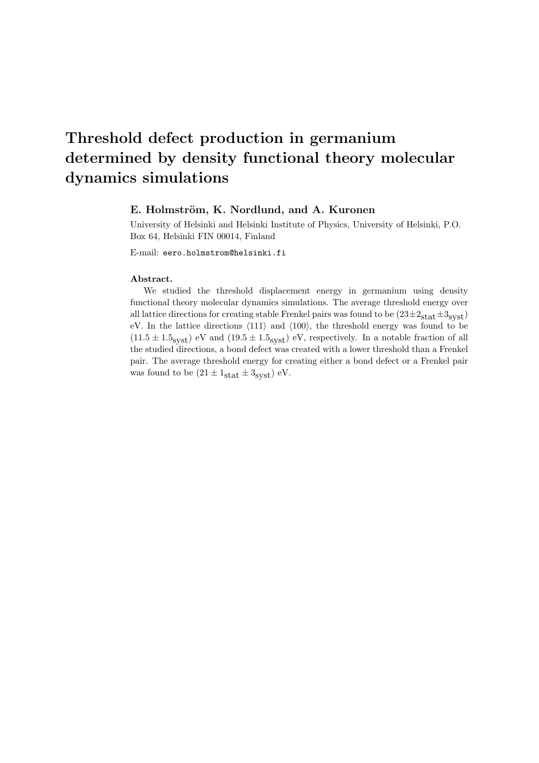# Threshold defect production in germanium determined by density functional theory molecular dynamics simulations

#### E. Holmström, K. Nordlund, and A. Kuronen

University of Helsinki and Helsinki Institute of Physics, University of Helsinki, P.O. Box 64, Helsinki FIN 00014, Finland

E-mail: eero.holmstrom@helsinki.fi

#### Abstract.

We studied the threshold displacement energy in germanium using density functional theory molecular dynamics simulations. The average threshold energy over all lattice directions for creating stable Frenkel pairs was found to be  $(23\pm 2<sub>stat</sub>\pm 3<sub>svst</sub>)$ eV. In the lattice directions  $\langle 111 \rangle$  and  $\langle 100 \rangle$ , the threshold energy was found to be  $(11.5 \pm 1.5_{\text{syst}})$  eV and  $(19.5 \pm 1.5_{\text{syst}})$  eV, respectively. In a notable fraction of all the studied directions, a bond defect was created with a lower threshold than a Frenkel pair. The average threshold energy for creating either a bond defect or a Frenkel pair was found to be  $(21 \pm 1_{\text{stat}} \pm 3_{\text{svst}})$  eV.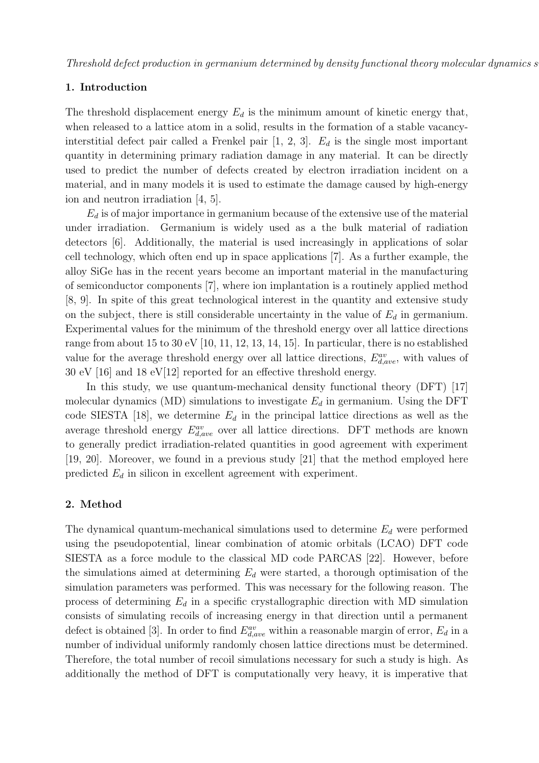# 1. Introduction

The threshold displacement energy  $E_d$  is the minimum amount of kinetic energy that, when released to a lattice atom in a solid, results in the formation of a stable vacancyinterstitial defect pair called a Frenkel pair  $[1, 2, 3]$ .  $E_d$  is the single most important quantity in determining primary radiation damage in any material. It can be directly used to predict the number of defects created by electron irradiation incident on a material, and in many models it is used to estimate the damage caused by high-energy ion and neutron irradiation [4, 5].

 $E_d$  is of major importance in germanium because of the extensive use of the material under irradiation. Germanium is widely used as a the bulk material of radiation detectors [6]. Additionally, the material is used increasingly in applications of solar cell technology, which often end up in space applications [7]. As a further example, the alloy SiGe has in the recent years become an important material in the manufacturing of semiconductor components [7], where ion implantation is a routinely applied method [8, 9]. In spite of this great technological interest in the quantity and extensive study on the subject, there is still considerable uncertainty in the value of  $E_d$  in germanium. Experimental values for the minimum of the threshold energy over all lattice directions range from about 15 to 30 eV [10, 11, 12, 13, 14, 15]. In particular, there is no established value for the average threshold energy over all lattice directions,  $E_{d,ave}^{av}$ , with values of 30 eV [16] and 18 eV[12] reported for an effective threshold energy.

In this study, we use quantum-mechanical density functional theory (DFT) [17] molecular dynamics (MD) simulations to investigate  $E_d$  in germanium. Using the DFT code SIESTA [18], we determine  $E_d$  in the principal lattice directions as well as the average threshold energy  $E_{d,ave}^{av}$  over all lattice directions. DFT methods are known to generally predict irradiation-related quantities in good agreement with experiment [19, 20]. Moreover, we found in a previous study [21] that the method employed here predicted  $E_d$  in silicon in excellent agreement with experiment.

# 2. Method

The dynamical quantum-mechanical simulations used to determine  $E_d$  were performed using the pseudopotential, linear combination of atomic orbitals (LCAO) DFT code SIESTA as a force module to the classical MD code PARCAS [22]. However, before the simulations aimed at determining  $E_d$  were started, a thorough optimisation of the simulation parameters was performed. This was necessary for the following reason. The process of determining  $E_d$  in a specific crystallographic direction with MD simulation consists of simulating recoils of increasing energy in that direction until a permanent defect is obtained [3]. In order to find  $E_{d,ave}^{av}$  within a reasonable margin of error,  $E_d$  in a number of individual uniformly randomly chosen lattice directions must be determined. Therefore, the total number of recoil simulations necessary for such a study is high. As additionally the method of DFT is computationally very heavy, it is imperative that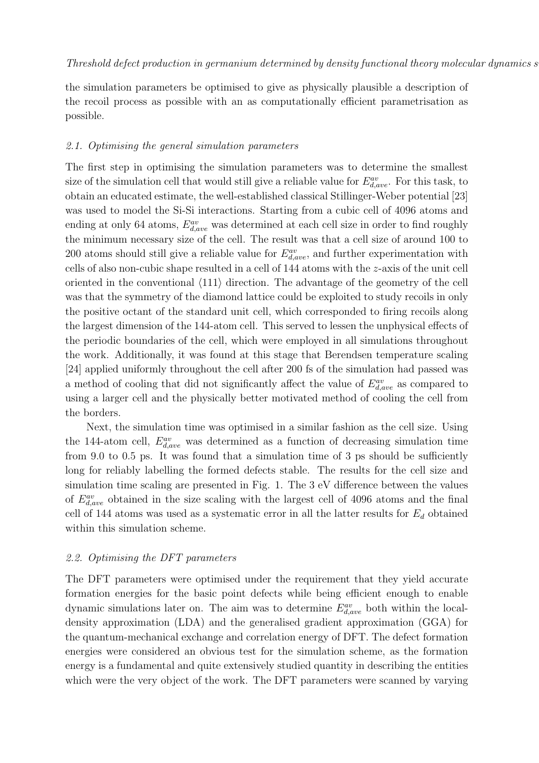the simulation parameters be optimised to give as physically plausible a description of the recoil process as possible with an as computationally efficient parametrisation as possible.

#### 2.1. Optimising the general simulation parameters

The first step in optimising the simulation parameters was to determine the smallest size of the simulation cell that would still give a reliable value for  $E_{d,ave}^{av}$ . For this task, to obtain an educated estimate, the well-established classical Stillinger-Weber potential [23] was used to model the Si-Si interactions. Starting from a cubic cell of 4096 atoms and ending at only 64 atoms,  $E_{d,ave}^{av}$  was determined at each cell size in order to find roughly the minimum necessary size of the cell. The result was that a cell size of around 100 to 200 atoms should still give a reliable value for  $E_{d,ave}^{av}$ , and further experimentation with cells of also non-cubic shape resulted in a cell of  $144$  atoms with the z-axis of the unit cell oriented in the conventional  $\langle 111 \rangle$  direction. The advantage of the geometry of the cell was that the symmetry of the diamond lattice could be exploited to study recoils in only the positive octant of the standard unit cell, which corresponded to firing recoils along the largest dimension of the 144-atom cell. This served to lessen the unphysical effects of the periodic boundaries of the cell, which were employed in all simulations throughout the work. Additionally, it was found at this stage that Berendsen temperature scaling [24] applied uniformly throughout the cell after 200 fs of the simulation had passed was a method of cooling that did not significantly affect the value of  $E_{d,ave}^{av}$  as compared to using a larger cell and the physically better motivated method of cooling the cell from the borders.

Next, the simulation time was optimised in a similar fashion as the cell size. Using the 144-atom cell,  $E_{d,ave}^{av}$  was determined as a function of decreasing simulation time from 9.0 to 0.5 ps. It was found that a simulation time of 3 ps should be sufficiently long for reliably labelling the formed defects stable. The results for the cell size and simulation time scaling are presented in Fig. 1. The 3 eV difference between the values of  $E_{d,ave}^{av}$  obtained in the size scaling with the largest cell of 4096 atoms and the final cell of 144 atoms was used as a systematic error in all the latter results for  $E_d$  obtained within this simulation scheme.

# 2.2. Optimising the DFT parameters

The DFT parameters were optimised under the requirement that they yield accurate formation energies for the basic point defects while being efficient enough to enable dynamic simulations later on. The aim was to determine  $E_{d,ave}^{av}$  both within the localdensity approximation (LDA) and the generalised gradient approximation (GGA) for the quantum-mechanical exchange and correlation energy of DFT. The defect formation energies were considered an obvious test for the simulation scheme, as the formation energy is a fundamental and quite extensively studied quantity in describing the entities which were the very object of the work. The DFT parameters were scanned by varying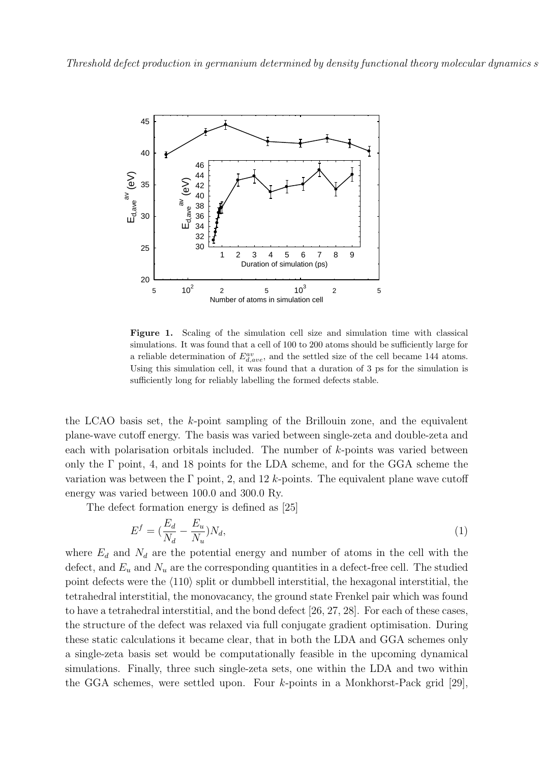

Figure 1. Scaling of the simulation cell size and simulation time with classical simulations. It was found that a cell of 100 to 200 atoms should be sufficiently large for a reliable determination of  $E_{d,ave}^{av}$ , and the settled size of the cell became 144 atoms. Using this simulation cell, it was found that a duration of 3 ps for the simulation is sufficiently long for reliably labelling the formed defects stable.

the LCAO basis set, the  $k$ -point sampling of the Brillouin zone, and the equivalent plane-wave cutoff energy. The basis was varied between single-zeta and double-zeta and each with polarisation orbitals included. The number of k-points was varied between only the  $\Gamma$  point, 4, and 18 points for the LDA scheme, and for the GGA scheme the variation was between the  $\Gamma$  point, 2, and 12 k-points. The equivalent plane wave cutoff energy was varied between 100.0 and 300.0 Ry.

The defect formation energy is defined as [25]

$$
E^f = \left(\frac{E_d}{N_d} - \frac{E_u}{N_u}\right)N_d,\tag{1}
$$

where  $E_d$  and  $N_d$  are the potential energy and number of atoms in the cell with the defect, and  $E_u$  and  $N_u$  are the corresponding quantities in a defect-free cell. The studied point defects were the  $\langle 110 \rangle$  split or dumbbell interstitial, the hexagonal interstitial, the tetrahedral interstitial, the monovacancy, the ground state Frenkel pair which was found to have a tetrahedral interstitial, and the bond defect [26, 27, 28]. For each of these cases, the structure of the defect was relaxed via full conjugate gradient optimisation. During these static calculations it became clear, that in both the LDA and GGA schemes only a single-zeta basis set would be computationally feasible in the upcoming dynamical simulations. Finally, three such single-zeta sets, one within the LDA and two within the GGA schemes, were settled upon. Four k-points in a Monkhorst-Pack grid [29],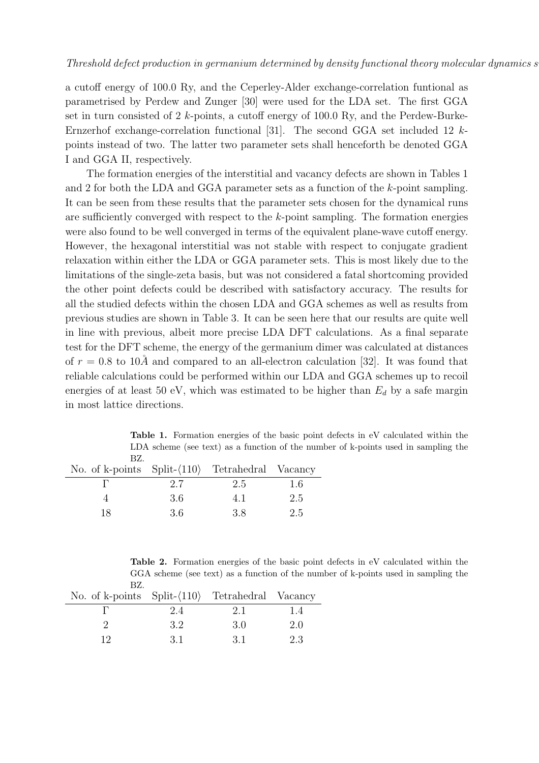a cutoff energy of 100.0 Ry, and the Ceperley-Alder exchange-correlation funtional as parametrised by Perdew and Zunger [30] were used for the LDA set. The first GGA set in turn consisted of 2 k-points, a cutoff energy of 100.0 Ry, and the Perdew-Burke-Ernzerhof exchange-correlation functional [31]. The second GGA set included 12 kpoints instead of two. The latter two parameter sets shall henceforth be denoted GGA I and GGA II, respectively.

The formation energies of the interstitial and vacancy defects are shown in Tables 1 and 2 for both the LDA and GGA parameter sets as a function of the k-point sampling. It can be seen from these results that the parameter sets chosen for the dynamical runs are sufficiently converged with respect to the  $k$ -point sampling. The formation energies were also found to be well converged in terms of the equivalent plane-wave cutoff energy. However, the hexagonal interstitial was not stable with respect to conjugate gradient relaxation within either the LDA or GGA parameter sets. This is most likely due to the limitations of the single-zeta basis, but was not considered a fatal shortcoming provided the other point defects could be described with satisfactory accuracy. The results for all the studied defects within the chosen LDA and GGA schemes as well as results from previous studies are shown in Table 3. It can be seen here that our results are quite well in line with previous, albeit more precise LDA DFT calculations. As a final separate test for the DFT scheme, the energy of the germanium dimer was calculated at distances of  $r = 0.8$  to  $10\AA$  and compared to an all-electron calculation [32]. It was found that reliable calculations could be performed within our LDA and GGA schemes up to recoil energies of at least 50 eV, which was estimated to be higher than  $E_d$  by a safe margin in most lattice directions.

Table 1. Formation energies of the basic point defects in eV calculated within the LDA scheme (see text) as a function of the number of k-points used in sampling the BZ.

| No. of k-points $Split-(110)$ Tetrahedral Vacancy |      |      |      |
|---------------------------------------------------|------|------|------|
|                                                   | 2.7  | 2.5  | -1.6 |
|                                                   | -3.6 | 4. L | 2.5  |
| 18                                                | -3.6 | 38   | 2.5  |

Table 2. Formation energies of the basic point defects in eV calculated within the GGA scheme (see text) as a function of the number of k-points used in sampling the BZ.

| No. of k-points $Split-(110)$ Tetrahedral Vacancy |      |      |     |
|---------------------------------------------------|------|------|-----|
|                                                   | 2.4  | 2.1  | 14  |
|                                                   | 32   | 3 O  | 2.0 |
|                                                   | -3.1 | -3.1 | 2.3 |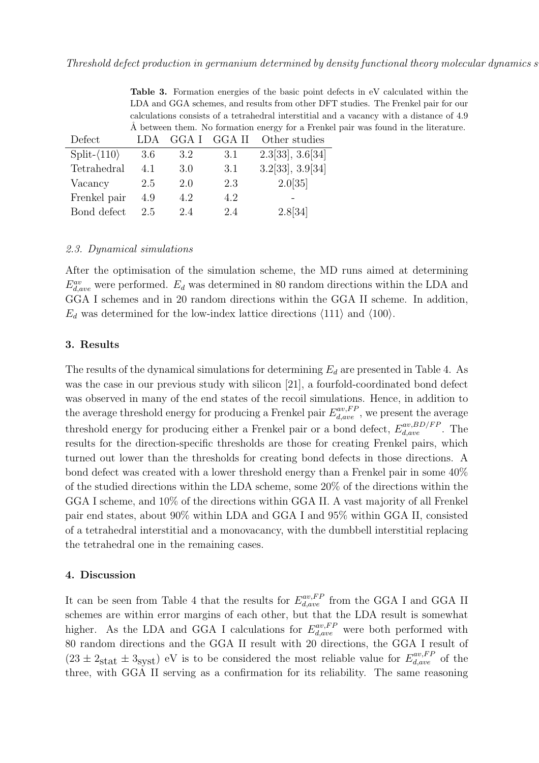Table 3. Formation energies of the basic point defects in eV calculated within the LDA and GGA schemes, and results from other DFT studies. The Frenkel pair for our calculations consists of a tetrahedral interstitial and a vacancy with a distance of 4.9 Å between them. No formation energy for a Frenkel pair was found in the literature.

| Defect        | LDA | GGA I | GGA II | Other studies    |
|---------------|-----|-------|--------|------------------|
| $Split-(110)$ | 3.6 | 3.2   | 3.1    | 2.3[33], 3.6[34] |
| Tetrahedral   | 4.1 | 3.0   | 3.1    | 3.2[33], 3.9[34] |
| Vacancy       | 2.5 | 2.0   | 2.3    | 2.0[35]          |
| Frenkel pair  | 4.9 | 4.2   | 4.2    |                  |
| Bond defect   | 25  | 2.4   | 2.4    | 2.8[34]          |

#### 2.3. Dynamical simulations

After the optimisation of the simulation scheme, the MD runs aimed at determining  $E_{d,ave}^{av}$  were performed.  $E_d$  was determined in 80 random directions within the LDA and GGA I schemes and in 20 random directions within the GGA II scheme. In addition,  $E_d$  was determined for the low-index lattice directions  $\langle 111 \rangle$  and  $\langle 100 \rangle$ .

### 3. Results

The results of the dynamical simulations for determining  $E_d$  are presented in Table 4. As was the case in our previous study with silicon [21], a fourfold-coordinated bond defect was observed in many of the end states of the recoil simulations. Hence, in addition to the average threshold energy for producing a Frenkel pair  $E_{d,ave}^{av,FP}$ , we present the average threshold energy for producing either a Frenkel pair or a bond defect,  $E_{d,ave}^{av,BD/FP}$ . The results for the direction-specific thresholds are those for creating Frenkel pairs, which turned out lower than the thresholds for creating bond defects in those directions. A bond defect was created with a lower threshold energy than a Frenkel pair in some 40% of the studied directions within the LDA scheme, some 20% of the directions within the GGA I scheme, and 10% of the directions within GGA II. A vast majority of all Frenkel pair end states, about 90% within LDA and GGA I and 95% within GGA II, consisted of a tetrahedral interstitial and a monovacancy, with the dumbbell interstitial replacing the tetrahedral one in the remaining cases.

# 4. Discussion

It can be seen from Table 4 that the results for  $E_{d,ave}^{av,FP}$  from the GGA I and GGA II schemes are within error margins of each other, but that the LDA result is somewhat higher. As the LDA and GGA I calculations for  $E_{d,ave}^{av,FP}$  were both performed with 80 random directions and the GGA II result with 20 directions, the GGA I result of  $(23 \pm 2_{\text{stat}} \pm 3_{\text{syst}})$  eV is to be considered the most reliable value for  $E_{d,ave}^{av,FP}$  of the three, with GGA II serving as a confirmation for its reliability. The same reasoning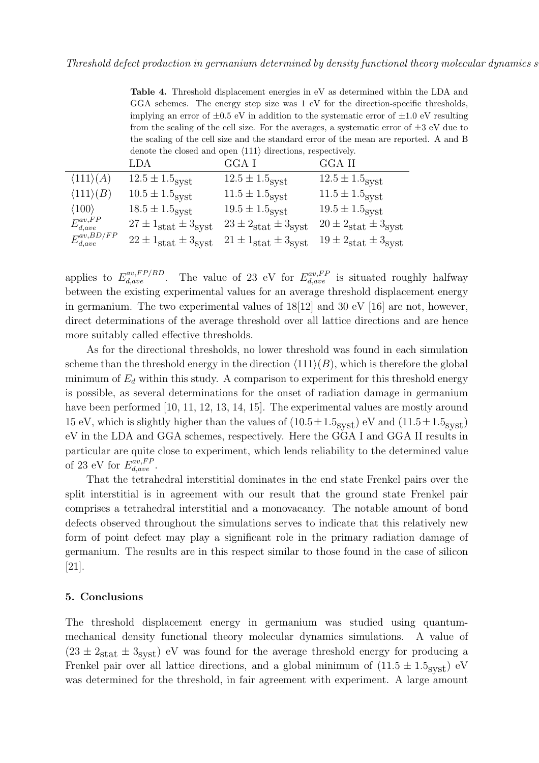Table 4. Threshold displacement energies in eV as determined within the LDA and GGA schemes. The energy step size was 1 eV for the direction-specific thresholds, implying an error of  $\pm 0.5$  eV in addition to the systematic error of  $\pm 1.0$  eV resulting from the scaling of the cell size. For the averages, a systematic error of  $\pm 3$  eV due to the scaling of the cell size and the standard error of the mean are reported. A and B denote the closed and open  $\langle 111 \rangle$  directions, respectively.

|                           | LDA                                          | GGA I                                        | GGA II                                       |
|---------------------------|----------------------------------------------|----------------------------------------------|----------------------------------------------|
| $\langle 111 \rangle (A)$ | $12.5 \pm 1.5$ syst                          | $12.5 \pm 1.5$ <sub>syst</sub>               | $12.5 \pm 1.5$ <sub>syst</sub>               |
| $\langle 111 \rangle (B)$ | $10.5 \pm 1.5$ <sub>syst</sub>               | $11.5 \pm 1.5$ <sub>syst</sub>               | $11.5 \pm 1.5$ <sub>syst</sub>               |
| $\langle 100 \rangle$     | $18.5 \pm 1.5$ <sub>SVSt</sub>               | $19.5 \pm 1.5$ <sub>syst</sub>               | $19.5 \pm 1.5$ <sub>syst</sub>               |
| $E_{d,ave}^{av,FP}$       | $27 \pm 1_{\text{stat}} \pm 3_{\text{syst}}$ | $23 \pm 2_{\text{stat}} \pm 3_{\text{syst}}$ | $20 \pm 2_{\text{stat}} \pm 3_{\text{syst}}$ |
| $E_{d,ave}^{av,BD/FP}$    | $22 \pm 1_{\text{stat}} \pm 3_{\text{syst}}$ | $21 \pm 1_{\text{stat}} \pm 3_{\text{syst}}$ | $19 \pm 2_{\text{stat}} \pm 3_{\text{syst}}$ |

applies to  $E_{d,ave}^{av,FP/BD}$ . The value of 23 eV for  $E_{d,ave}^{av,FP}$  is situated roughly halfway between the existing experimental values for an average threshold displacement energy in germanium. The two experimental values of 18[12] and 30 eV [16] are not, however, direct determinations of the average threshold over all lattice directions and are hence more suitably called effective thresholds.

As for the directional thresholds, no lower threshold was found in each simulation scheme than the threshold energy in the direction  $\langle 111 \rangle(B)$ , which is therefore the global minimum of  $E_d$  within this study. A comparison to experiment for this threshold energy is possible, as several determinations for the onset of radiation damage in germanium have been performed [10, 11, 12, 13, 14, 15]. The experimental values are mostly around 15 eV, which is slightly higher than the values of  $(10.5 \pm 1.5 \text{svst})$  eV and  $(11.5 \pm 1.5 \text{svst})$ eV in the LDA and GGA schemes, respectively. Here the GGA I and GGA II results in particular are quite close to experiment, which lends reliability to the determined value of 23 eV for  $E_{d,ave}^{av,FP}$ .

That the tetrahedral interstitial dominates in the end state Frenkel pairs over the split interstitial is in agreement with our result that the ground state Frenkel pair comprises a tetrahedral interstitial and a monovacancy. The notable amount of bond defects observed throughout the simulations serves to indicate that this relatively new form of point defect may play a significant role in the primary radiation damage of germanium. The results are in this respect similar to those found in the case of silicon [21].

#### 5. Conclusions

The threshold displacement energy in germanium was studied using quantummechanical density functional theory molecular dynamics simulations. A value of  $(23 \pm 2<sub>stat</sub> \pm 3<sub>svst</sub>)$  eV was found for the average threshold energy for producing a Frenkel pair over all lattice directions, and a global minimum of  $(11.5 \pm 1.5_{syst})$  eV was determined for the threshold, in fair agreement with experiment. A large amount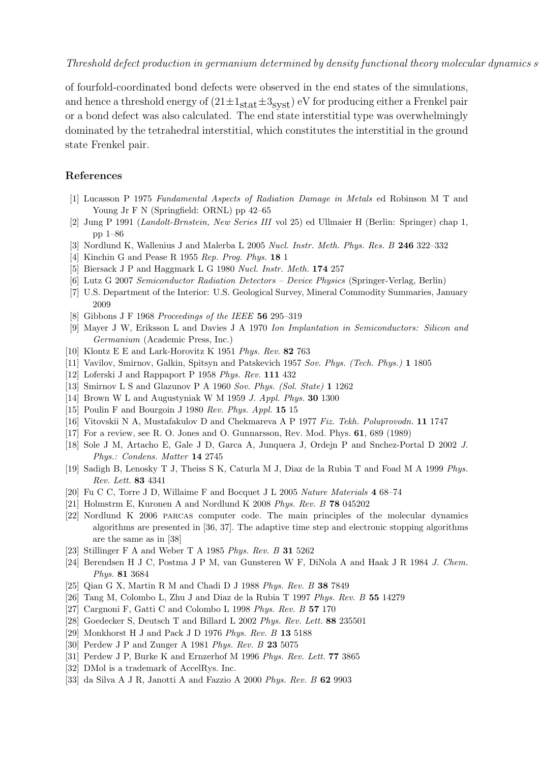of fourfold-coordinated bond defects were observed in the end states of the simulations, and hence a threshold energy of  $(21 \pm 1_{\text{stat}} \pm 3_{\text{svst}})$  eV for producing either a Frenkel pair or a bond defect was also calculated. The end state interstitial type was overwhelmingly dominated by the tetrahedral interstitial, which constitutes the interstitial in the ground state Frenkel pair.

# References

- [1] Lucasson P 1975 *Fundamental Aspects of Radiation Damage in Metals* ed Robinson M T and Young Jr F N (Springfield: ORNL) pp 42–65
- [2] Jung P 1991 (*Landolt-Brnstein, New Series III* vol 25) ed Ullmaier H (Berlin: Springer) chap 1, pp 1–86
- [3] Nordlund K, Wallenius J and Malerba L 2005 *Nucl. Instr. Meth. Phys. Res. B* 246 322–332
- [4] Kinchin G and Pease R 1955 *Rep. Prog. Phys.* 18 1
- [5] Biersack J P and Haggmark L G 1980 *Nucl. Instr. Meth.* 174 257
- [6] Lutz G 2007 *Semiconductor Radiation Detectors Device Physics* (Springer-Verlag, Berlin)
- [7] U.S. Department of the Interior: U.S. Geological Survey, Mineral Commodity Summaries, January 2009
- [8] Gibbons J F 1968 *Proceedings of the IEEE* 56 295–319
- [9] Mayer J W, Eriksson L and Davies J A 1970 *Ion Implantation in Semiconductors: Silicon and Germanium* (Academic Press, Inc.)
- [10] Klontz E E and Lark-Horovitz K 1951 *Phys. Rev.* 82 763
- [11] Vavilov, Smirnov, Galkin, Spitsyn and Patskevich 1957 *Sov. Phys. (Tech. Phys.)* 1 1805
- [12] Loferski J and Rappaport P 1958 *Phys. Rev.* 111 432
- [13] Smirnov L S and Glazunov P A 1960 *Sov. Phys. (Sol. State)* 1 1262
- [14] Brown W L and Augustyniak W M 1959 *J. Appl. Phys.* 30 1300
- [15] Poulin F and Bourgoin J 1980 *Rev. Phys. Appl.* 15 15
- [16] Vitovskii N A, Mustafakulov D and Chekmareva A P 1977 *Fiz. Tekh. Poluprovodn.* 11 1747
- [17] For a review, see R. O. Jones and O. Gunnarsson, Rev. Mod. Phys. 61, 689 (1989)
- [18] Sole J M, Artacho E, Gale J D, Garca A, Junquera J, Ordejn P and Snchez-Portal D 2002 *J. Phys.: Condens. Matter* 14 2745
- [19] Sadigh B, Lenosky T J, Theiss S K, Caturla M J, Diaz de la Rubia T and Foad M A 1999 *Phys. Rev. Lett.* 83 4341
- [20] Fu C C, Torre J D, Willaime F and Bocquet J L 2005 *Nature Materials* 4 68–74
- [21] Holmstrm E, Kuronen A and Nordlund K 2008 *Phys. Rev. B* 78 045202
- [22] Nordlund K 2006 parcas computer code. The main principles of the molecular dynamics algorithms are presented in [36, 37]. The adaptive time step and electronic stopping algorithms are the same as in [38]
- [23] Stillinger F A and Weber T A 1985 *Phys. Rev. B* 31 5262
- [24] Berendsen H J C, Postma J P M, van Gunsteren W F, DiNola A and Haak J R 1984 *J. Chem. Phys.* 81 3684
- [25] Qian G X, Martin R M and Chadi D J 1988 *Phys. Rev. B* 38 7849
- [26] Tang M, Colombo L, Zhu J and Diaz de la Rubia T 1997 *Phys. Rev. B* 55 14279
- [27] Cargnoni F, Gatti C and Colombo L 1998 *Phys. Rev. B* 57 170
- [28] Goedecker S, Deutsch T and Billard L 2002 *Phys. Rev. Lett.* 88 235501
- [29] Monkhorst H J and Pack J D 1976 *Phys. Rev. B* 13 5188
- [30] Perdew J P and Zunger A 1981 *Phys. Rev. B* 23 5075
- [31] Perdew J P, Burke K and Ernzerhof M 1996 *Phys. Rev. Lett.* 77 3865
- [32] DMol is a trademark of AccelRys. Inc.
- [33] da Silva A J R, Janotti A and Fazzio A 2000 *Phys. Rev. B* 62 9903